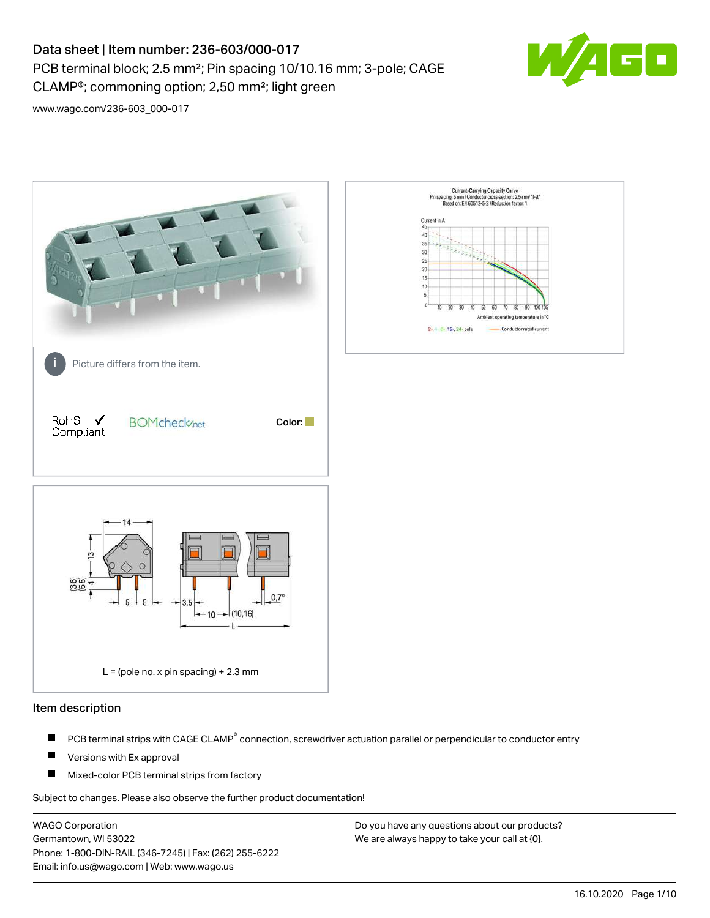# Data sheet | Item number: 236-603/000-017 PCB terminal block; 2.5 mm²; Pin spacing 10/10.16 mm; 3-pole; CAGE CLAMP®; commoning option; 2,50 mm²; light green



[www.wago.com/236-603\\_000-017](http://www.wago.com/236-603_000-017)



#### Item description

- PCB terminal strips with CAGE CLAMP<sup>®</sup> connection, screwdriver actuation parallel or perpendicular to conductor entry П
- П Versions with Ex approval
- П Mixed-color PCB terminal strips from factory

Subject to changes. Please also observe the further product documentation!

WAGO Corporation Germantown, WI 53022 Phone: 1-800-DIN-RAIL (346-7245) | Fax: (262) 255-6222 Email: info.us@wago.com | Web: www.wago.us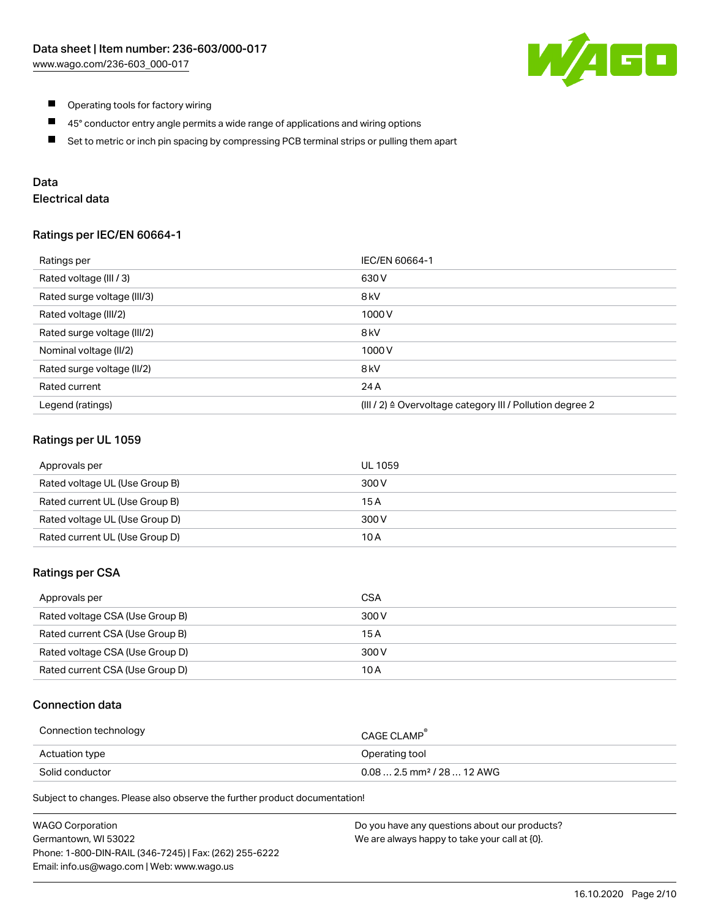

- $\blacksquare$ Operating tools for factory wiring
- $\blacksquare$ 45° conductor entry angle permits a wide range of applications and wiring options
- $\blacksquare$ Set to metric or inch pin spacing by compressing PCB terminal strips or pulling them apart

## Data

## Electrical data

### Ratings per IEC/EN 60664-1

| Ratings per                 | IEC/EN 60664-1                                                        |
|-----------------------------|-----------------------------------------------------------------------|
| Rated voltage (III / 3)     | 630 V                                                                 |
| Rated surge voltage (III/3) | 8 <sub>kV</sub>                                                       |
| Rated voltage (III/2)       | 1000V                                                                 |
| Rated surge voltage (III/2) | 8 <sub>kV</sub>                                                       |
| Nominal voltage (II/2)      | 1000V                                                                 |
| Rated surge voltage (II/2)  | 8 <sub>kV</sub>                                                       |
| Rated current               | 24 A                                                                  |
| Legend (ratings)            | $(III / 2)$ $\triangle$ Overvoltage category III / Pollution degree 2 |

### Ratings per UL 1059

| Approvals per                  | UL 1059 |
|--------------------------------|---------|
| Rated voltage UL (Use Group B) | 300 V   |
| Rated current UL (Use Group B) | 15 A    |
| Rated voltage UL (Use Group D) | 300 V   |
| Rated current UL (Use Group D) | 10 A    |

### Ratings per CSA

| Approvals per                   | CSA   |
|---------------------------------|-------|
| Rated voltage CSA (Use Group B) | 300 V |
| Rated current CSA (Use Group B) | 15 A  |
| Rated voltage CSA (Use Group D) | 300 V |
| Rated current CSA (Use Group D) | 10 A  |

### Connection data

| Connection technology | CAGE CLAMP <sup>®</sup>                 |
|-----------------------|-----------------------------------------|
| Actuation type        | Operating tool                          |
| Solid conductor       | $0.08$ 2.5 mm <sup>2</sup> / 28  12 AWG |

Subject to changes. Please also observe the further product documentation!

| <b>WAGO Corporation</b>                                | Do you have any questions about our products? |
|--------------------------------------------------------|-----------------------------------------------|
| Germantown, WI 53022                                   | We are always happy to take your call at {0}. |
| Phone: 1-800-DIN-RAIL (346-7245)   Fax: (262) 255-6222 |                                               |
| Email: info.us@wago.com   Web: www.wago.us             |                                               |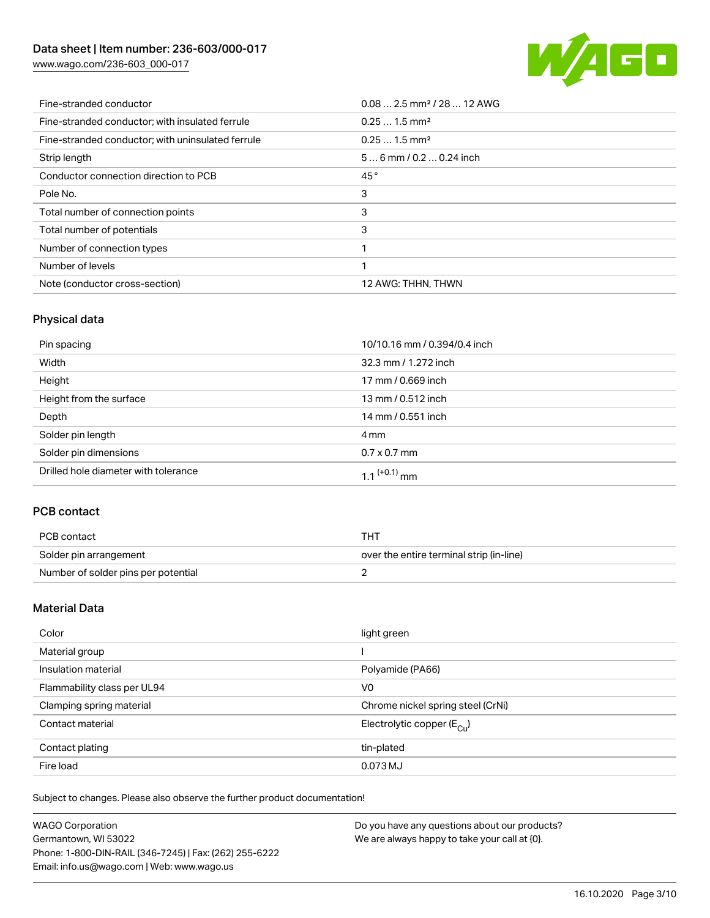## Data sheet | Item number: 236-603/000-017

[www.wago.com/236-603\\_000-017](http://www.wago.com/236-603_000-017)



| Fine-stranded conductor                           | $0.082.5$ mm <sup>2</sup> / 28  12 AWG |
|---------------------------------------------------|----------------------------------------|
| Fine-stranded conductor: with insulated ferrule   | $0.251.5$ mm <sup>2</sup>              |
| Fine-stranded conductor; with uninsulated ferrule | $0.251.5$ mm <sup>2</sup>              |
| Strip length                                      | $56$ mm / 0.2  0.24 inch               |
| Conductor connection direction to PCB             | 45°                                    |
| Pole No.                                          | 3                                      |
| Total number of connection points                 | 3                                      |
| Total number of potentials                        | 3                                      |
| Number of connection types                        |                                        |
| Number of levels                                  |                                        |
| Note (conductor cross-section)                    | 12 AWG: THHN, THWN                     |

## Physical data

| Pin spacing                          | 10/10.16 mm / 0.394/0.4 inch |
|--------------------------------------|------------------------------|
| Width                                | 32.3 mm / 1.272 inch         |
| Height                               | 17 mm / 0.669 inch           |
| Height from the surface              | 13 mm / 0.512 inch           |
| Depth                                | 14 mm / 0.551 inch           |
| Solder pin length                    | 4 mm                         |
| Solder pin dimensions                | $0.7 \times 0.7$ mm          |
| Drilled hole diameter with tolerance | $1.1$ <sup>(+0.1)</sup> mm   |

## PCB contact

| PCB contact                         | THT                                      |
|-------------------------------------|------------------------------------------|
| Solder pin arrangement              | over the entire terminal strip (in-line) |
| Number of solder pins per potential |                                          |

### Material Data

| Color                       | light green                            |
|-----------------------------|----------------------------------------|
| Material group              |                                        |
| Insulation material         | Polyamide (PA66)                       |
| Flammability class per UL94 | V <sub>0</sub>                         |
| Clamping spring material    | Chrome nickel spring steel (CrNi)      |
| Contact material            | Electrolytic copper $(E_{\text{CII}})$ |
| Contact plating             | tin-plated                             |
| Fire load                   | 0.073 MJ                               |

Subject to changes. Please also observe the further product documentation!

| <b>WAGO Corporation</b>                                | Do you have any questions about our products? |
|--------------------------------------------------------|-----------------------------------------------|
| Germantown, WI 53022                                   | We are always happy to take your call at {0}. |
| Phone: 1-800-DIN-RAIL (346-7245)   Fax: (262) 255-6222 |                                               |
| Email: info.us@wago.com   Web: www.wago.us             |                                               |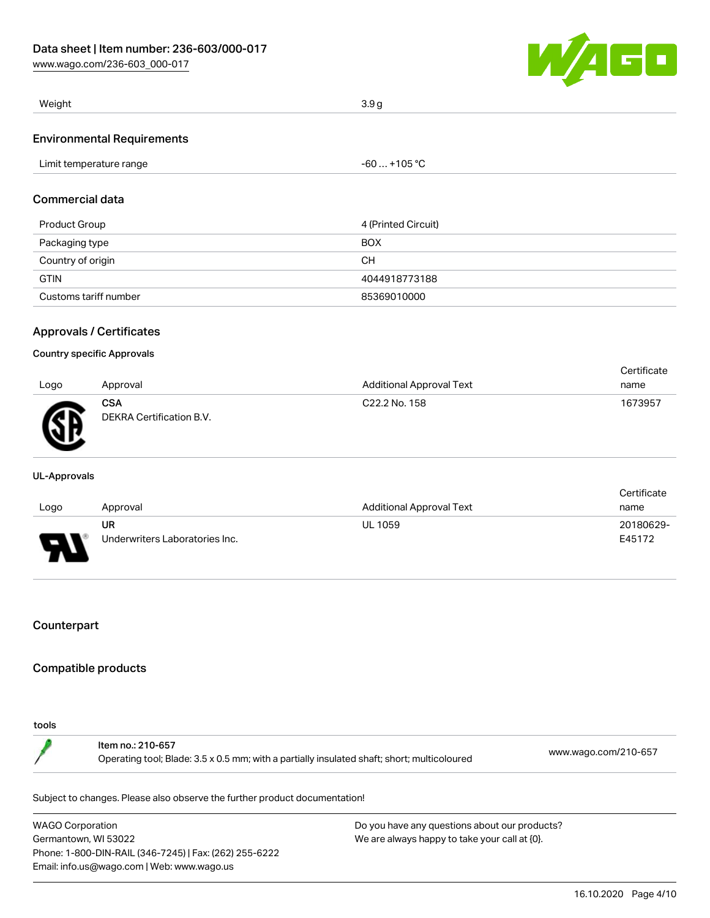[www.wago.com/236-603\\_000-017](http://www.wago.com/236-603_000-017)



| Weight                            | 3.9q |
|-----------------------------------|------|
| <b>Environmental Requirements</b> |      |

| Limit temperature range | $-60+105 °C$ |
|-------------------------|--------------|
|                         |              |

### Commercial data

| Product Group         | 4 (Printed Circuit) |
|-----------------------|---------------------|
| Packaging type        | <b>BOX</b>          |
| Country of origin     | CН                  |
| <b>GTIN</b>           | 4044918773188       |
| Customs tariff number | 85369010000         |

### Approvals / Certificates

#### Country specific Approvals

|      |                                        |                                 | Certificate |
|------|----------------------------------------|---------------------------------|-------------|
| Logo | Approval                               | <b>Additional Approval Text</b> | name        |
| Ж    | <b>CSA</b><br>DEKRA Certification B.V. | C22.2 No. 158                   | 1673957     |

#### UL-Approvals

|      |                                |                                 | Certificate |
|------|--------------------------------|---------------------------------|-------------|
| Logo | Approval                       | <b>Additional Approval Text</b> | name        |
|      | UR                             | <b>UL 1059</b>                  | 20180629-   |
| p    | Underwriters Laboratories Inc. |                                 | E45172      |

### **Counterpart**

### Compatible products

#### tools

Item no.: 210-657 Operating tool; Blade: 3.5 x 0.5 mm; with a partially insulated shaft; short; multicoloured [www.wago.com/210-657](http://www.wago.com/210-657)

Subject to changes. Please also observe the further product documentation!

WAGO Corporation Germantown, WI 53022 Phone: 1-800-DIN-RAIL (346-7245) | Fax: (262) 255-6222 Email: info.us@wago.com | Web: www.wago.us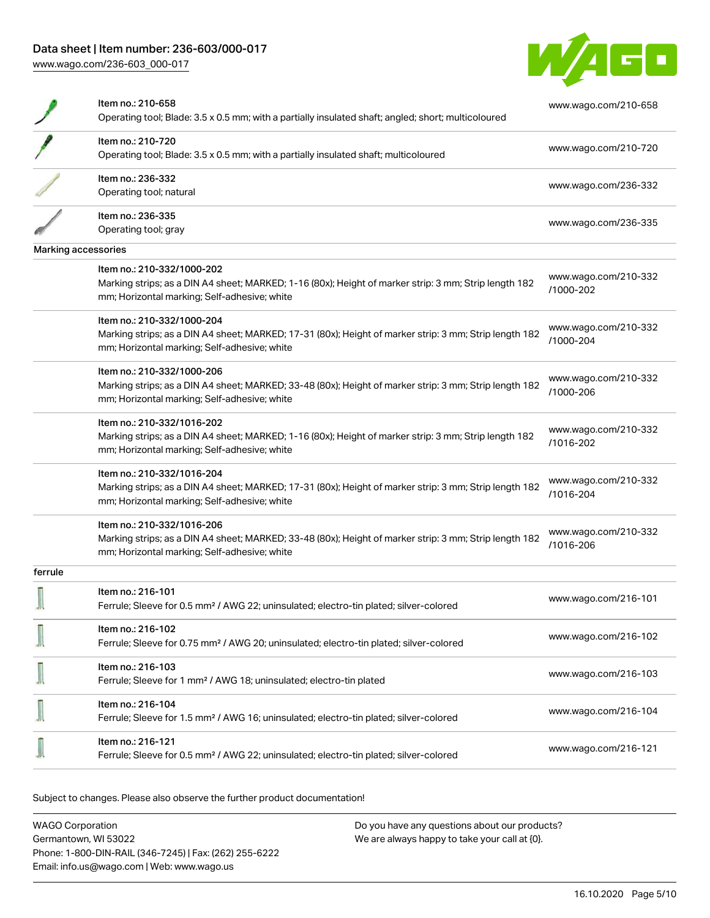## Data sheet | Item number: 236-603/000-017

[www.wago.com/236-603\\_000-017](http://www.wago.com/236-603_000-017)



|                     | Item no.: 210-658<br>Operating tool; Blade: 3.5 x 0.5 mm; with a partially insulated shaft; angled; short; multicoloured                               | www.wago.com/210-658              |
|---------------------|--------------------------------------------------------------------------------------------------------------------------------------------------------|-----------------------------------|
|                     | Item no.: 210-720                                                                                                                                      |                                   |
|                     | Operating tool; Blade: 3.5 x 0.5 mm; with a partially insulated shaft; multicoloured                                                                   | www.wago.com/210-720              |
|                     | Item no.: 236-332                                                                                                                                      | www.wago.com/236-332              |
|                     | Operating tool; natural                                                                                                                                |                                   |
|                     | Item no.: 236-335                                                                                                                                      | www.wago.com/236-335              |
|                     | Operating tool; gray                                                                                                                                   |                                   |
| Marking accessories |                                                                                                                                                        |                                   |
|                     | Item no.: 210-332/1000-202                                                                                                                             |                                   |
|                     | Marking strips; as a DIN A4 sheet; MARKED; 1-16 (80x); Height of marker strip: 3 mm; Strip length 182<br>mm; Horizontal marking; Self-adhesive; white  | www.wago.com/210-332<br>/1000-202 |
|                     | Item no.: 210-332/1000-204                                                                                                                             | www.wago.com/210-332              |
|                     | Marking strips; as a DIN A4 sheet; MARKED; 17-31 (80x); Height of marker strip: 3 mm; Strip length 182<br>mm; Horizontal marking; Self-adhesive; white | /1000-204                         |
|                     | Item no.: 210-332/1000-206                                                                                                                             | www.wago.com/210-332              |
|                     | Marking strips; as a DIN A4 sheet; MARKED; 33-48 (80x); Height of marker strip: 3 mm; Strip length 182                                                 | /1000-206                         |
|                     | mm; Horizontal marking; Self-adhesive; white                                                                                                           |                                   |
|                     | Item no.: 210-332/1016-202                                                                                                                             | www.wago.com/210-332              |
|                     | Marking strips; as a DIN A4 sheet; MARKED; 1-16 (80x); Height of marker strip: 3 mm; Strip length 182<br>mm; Horizontal marking; Self-adhesive; white  | /1016-202                         |
|                     | Item no.: 210-332/1016-204                                                                                                                             |                                   |
|                     | Marking strips; as a DIN A4 sheet; MARKED; 17-31 (80x); Height of marker strip: 3 mm; Strip length 182<br>mm; Horizontal marking; Self-adhesive; white | www.wago.com/210-332<br>/1016-204 |
|                     | Item no.: 210-332/1016-206                                                                                                                             |                                   |
|                     | Marking strips; as a DIN A4 sheet; MARKED; 33-48 (80x); Height of marker strip: 3 mm; Strip length 182<br>mm; Horizontal marking; Self-adhesive; white | www.wago.com/210-332<br>/1016-206 |
| ferrule             |                                                                                                                                                        |                                   |
|                     | Item no.: 216-101<br>Ferrule; Sleeve for 0.5 mm <sup>2</sup> / AWG 22; uninsulated; electro-tin plated; silver-colored                                 | www.wago.com/216-101              |
|                     | Item no.: 216-102<br>Ferrule; Sleeve for 0.75 mm <sup>2</sup> / AWG 20; uninsulated; electro-tin plated; silver-colored                                | www.wago.com/216-102              |
|                     |                                                                                                                                                        |                                   |
|                     | Item no.: 216-103<br>Ferrule; Sleeve for 1 mm <sup>2</sup> / AWG 18; uninsulated; electro-tin plated                                                   | www.wago.com/216-103              |
|                     | Item no.: 216-104<br>Ferrule; Sleeve for 1.5 mm <sup>2</sup> / AWG 16; uninsulated; electro-tin plated; silver-colored                                 | www.wago.com/216-104              |
|                     | Item no.: 216-121<br>Ferrule; Sleeve for 0.5 mm <sup>2</sup> / AWG 22; uninsulated; electro-tin plated; silver-colored                                 | www.wago.com/216-121              |

Subject to changes. Please also observe the further product documentation!

WAGO Corporation Germantown, WI 53022 Phone: 1-800-DIN-RAIL (346-7245) | Fax: (262) 255-6222 Email: info.us@wago.com | Web: www.wago.us Do you have any questions about our products? We are always happy to take your call at {0}.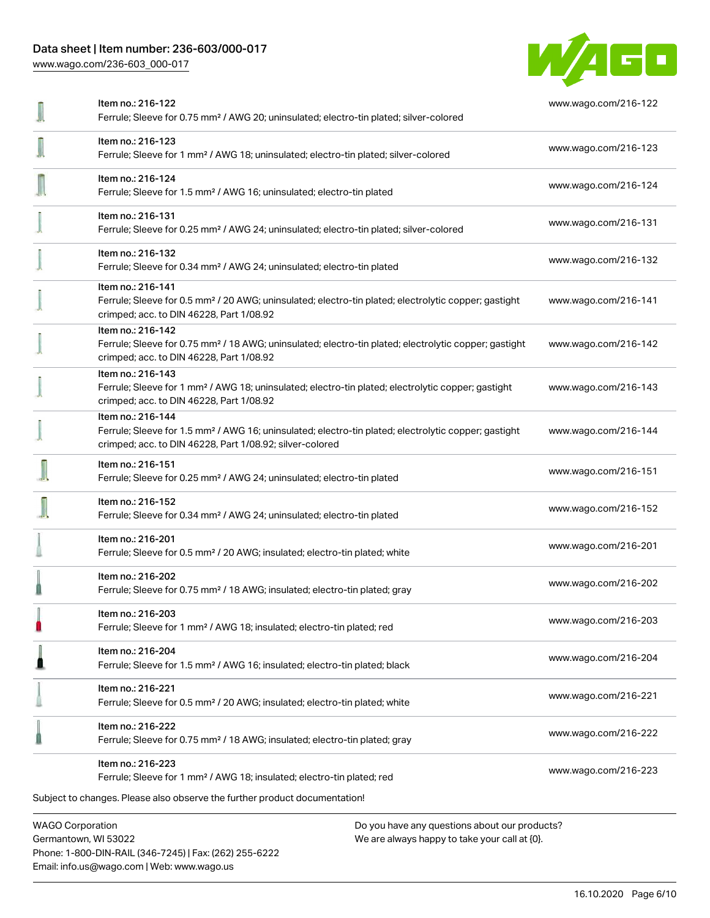## Data sheet | Item number: 236-603/000-017

[www.wago.com/236-603\\_000-017](http://www.wago.com/236-603_000-017)



| Item no.: 216-122<br>Ferrule; Sleeve for 0.75 mm <sup>2</sup> / AWG 20; uninsulated; electro-tin plated; silver-colored                                                                           | www.wago.com/216-122 |
|---------------------------------------------------------------------------------------------------------------------------------------------------------------------------------------------------|----------------------|
| Item no.: 216-123<br>Ferrule; Sleeve for 1 mm <sup>2</sup> / AWG 18; uninsulated; electro-tin plated; silver-colored                                                                              | www.wago.com/216-123 |
| Item no.: 216-124<br>Ferrule; Sleeve for 1.5 mm <sup>2</sup> / AWG 16; uninsulated; electro-tin plated                                                                                            | www.wago.com/216-124 |
| Item no.: 216-131<br>Ferrule; Sleeve for 0.25 mm <sup>2</sup> / AWG 24; uninsulated; electro-tin plated; silver-colored                                                                           | www.wago.com/216-131 |
| Item no.: 216-132<br>Ferrule; Sleeve for 0.34 mm <sup>2</sup> / AWG 24; uninsulated; electro-tin plated                                                                                           | www.wago.com/216-132 |
| Item no.: 216-141<br>Ferrule; Sleeve for 0.5 mm <sup>2</sup> / 20 AWG; uninsulated; electro-tin plated; electrolytic copper; gastight<br>crimped; acc. to DIN 46228, Part 1/08.92                 | www.wago.com/216-141 |
| Item no.: 216-142<br>Ferrule; Sleeve for 0.75 mm <sup>2</sup> / 18 AWG; uninsulated; electro-tin plated; electrolytic copper; gastight<br>crimped; acc. to DIN 46228, Part 1/08.92                | www.wago.com/216-142 |
| Item no.: 216-143<br>Ferrule; Sleeve for 1 mm <sup>2</sup> / AWG 18; uninsulated; electro-tin plated; electrolytic copper; gastight<br>crimped; acc. to DIN 46228, Part 1/08.92                   | www.wago.com/216-143 |
| Item no.: 216-144<br>Ferrule; Sleeve for 1.5 mm <sup>2</sup> / AWG 16; uninsulated; electro-tin plated; electrolytic copper; gastight<br>crimped; acc. to DIN 46228, Part 1/08.92; silver-colored | www.wago.com/216-144 |
| Item no.: 216-151<br>Ferrule; Sleeve for 0.25 mm <sup>2</sup> / AWG 24; uninsulated; electro-tin plated                                                                                           | www.wago.com/216-151 |
| Item no.: 216-152<br>Ferrule; Sleeve for 0.34 mm <sup>2</sup> / AWG 24; uninsulated; electro-tin plated                                                                                           | www.wago.com/216-152 |
| Item no.: 216-201<br>Ferrule; Sleeve for 0.5 mm <sup>2</sup> / 20 AWG; insulated; electro-tin plated; white                                                                                       | www.wago.com/216-201 |
| Item no.: 216-202<br>Ferrule; Sleeve for 0.75 mm <sup>2</sup> / 18 AWG; insulated; electro-tin plated; gray                                                                                       | www.wago.com/216-202 |
| Item no.: 216-203<br>Ferrule; Sleeve for 1 mm <sup>2</sup> / AWG 18; insulated; electro-tin plated; red                                                                                           | www.wago.com/216-203 |
| Item no.: 216-204<br>Ferrule; Sleeve for 1.5 mm <sup>2</sup> / AWG 16; insulated; electro-tin plated; black                                                                                       | www.wago.com/216-204 |
| Item no.: 216-221<br>Ferrule; Sleeve for 0.5 mm <sup>2</sup> / 20 AWG; insulated; electro-tin plated; white                                                                                       | www.wago.com/216-221 |
| Item no.: 216-222<br>Ferrule; Sleeve for 0.75 mm <sup>2</sup> / 18 AWG; insulated; electro-tin plated; gray                                                                                       | www.wago.com/216-222 |
| Item no.: 216-223<br>Ferrule; Sleeve for 1 mm <sup>2</sup> / AWG 18; insulated; electro-tin plated; red                                                                                           | www.wago.com/216-223 |
| Subject to changes. Please also observe the further product documentation!                                                                                                                        |                      |
| <b>WAGO Corporation</b><br>Do you have any questions about our products?                                                                                                                          |                      |

Germantown, WI 53022 Phone: 1-800-DIN-RAIL (346-7245) | Fax: (262) 255-6222 Email: info.us@wago.com | Web: www.wago.us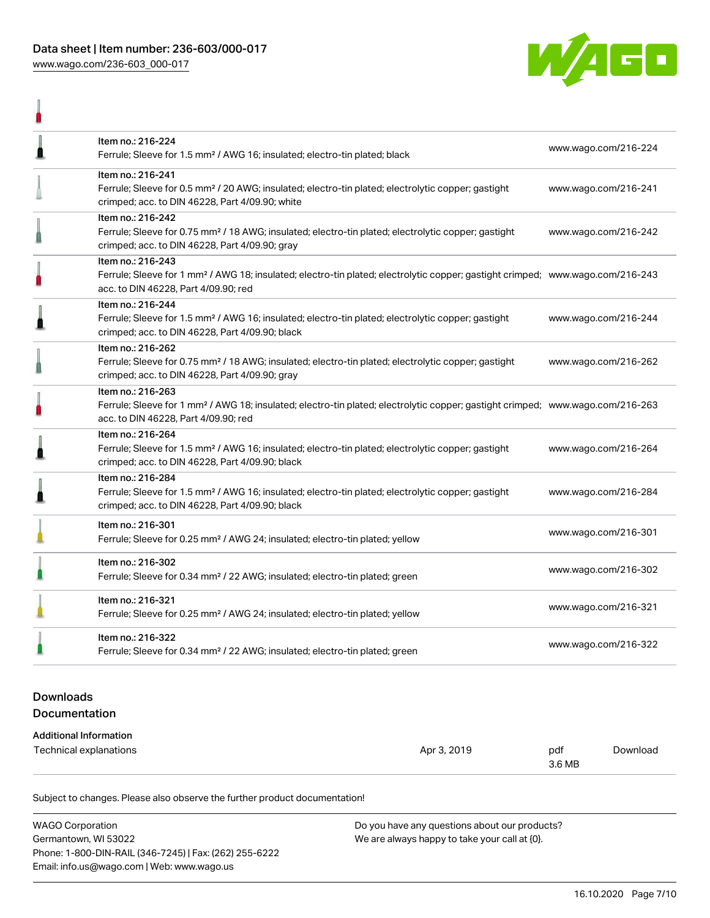$\begin{array}{c} \hline \end{array}$ 



| Item no.: 216-224<br>Ferrule; Sleeve for 1.5 mm <sup>2</sup> / AWG 16; insulated; electro-tin plated; black                                                                                             | www.wago.com/216-224 |
|---------------------------------------------------------------------------------------------------------------------------------------------------------------------------------------------------------|----------------------|
| Item no.: 216-241<br>Ferrule; Sleeve for 0.5 mm <sup>2</sup> / 20 AWG; insulated; electro-tin plated; electrolytic copper; gastight<br>crimped; acc. to DIN 46228, Part 4/09.90; white                  | www.wago.com/216-241 |
| Item no.: 216-242<br>Ferrule; Sleeve for 0.75 mm <sup>2</sup> / 18 AWG; insulated; electro-tin plated; electrolytic copper; gastight<br>crimped; acc. to DIN 46228, Part 4/09.90; gray                  | www.wago.com/216-242 |
| Item no.: 216-243<br>Ferrule; Sleeve for 1 mm <sup>2</sup> / AWG 18; insulated; electro-tin plated; electrolytic copper; gastight crimped; www.wago.com/216-243<br>acc. to DIN 46228, Part 4/09.90; red |                      |
| Item no.: 216-244<br>Ferrule; Sleeve for 1.5 mm <sup>2</sup> / AWG 16; insulated; electro-tin plated; electrolytic copper; gastight<br>crimped; acc. to DIN 46228, Part 4/09.90; black                  | www.wago.com/216-244 |
| Item no.: 216-262<br>Ferrule; Sleeve for 0.75 mm <sup>2</sup> / 18 AWG; insulated; electro-tin plated; electrolytic copper; gastight<br>crimped; acc. to DIN 46228, Part 4/09.90; gray                  | www.wago.com/216-262 |
| Item no.: 216-263<br>Ferrule; Sleeve for 1 mm <sup>2</sup> / AWG 18; insulated; electro-tin plated; electrolytic copper; gastight crimped; www.wago.com/216-263<br>acc. to DIN 46228, Part 4/09.90; red |                      |
| Item no.: 216-264<br>Ferrule; Sleeve for 1.5 mm <sup>2</sup> / AWG 16; insulated; electro-tin plated; electrolytic copper; gastight<br>crimped; acc. to DIN 46228, Part 4/09.90; black                  | www.wago.com/216-264 |
| Item no.: 216-284<br>Ferrule; Sleeve for 1.5 mm <sup>2</sup> / AWG 16; insulated; electro-tin plated; electrolytic copper; gastight<br>crimped; acc. to DIN 46228, Part 4/09.90; black                  | www.wago.com/216-284 |
| Item no.: 216-301<br>Ferrule; Sleeve for 0.25 mm <sup>2</sup> / AWG 24; insulated; electro-tin plated; yellow                                                                                           | www.wago.com/216-301 |
| Item no.: 216-302<br>Ferrule; Sleeve for 0.34 mm <sup>2</sup> / 22 AWG; insulated; electro-tin plated; green                                                                                            | www.wago.com/216-302 |
| Item no.: 216-321<br>Ferrule; Sleeve for 0.25 mm <sup>2</sup> / AWG 24; insulated; electro-tin plated; yellow                                                                                           | www.wago.com/216-321 |
| Item no.: 216-322<br>Ferrule; Sleeve for 0.34 mm <sup>2</sup> / 22 AWG; insulated; electro-tin plated; green                                                                                            | www.wago.com/216-322 |
|                                                                                                                                                                                                         |                      |

## Downloads Documentation

#### Additional Information

| Technical explanations<br>. | Apr 3, 2019 | pdt    | Download |
|-----------------------------|-------------|--------|----------|
|                             |             | 3.6 MB |          |

Subject to changes. Please also observe the further product documentation!

| <b>WAGO Corporation</b>                                | Do you have any questions about our products? |
|--------------------------------------------------------|-----------------------------------------------|
| Germantown, WI 53022                                   | We are always happy to take your call at {0}. |
| Phone: 1-800-DIN-RAIL (346-7245)   Fax: (262) 255-6222 |                                               |
| Email: info.us@wago.com   Web: www.wago.us             |                                               |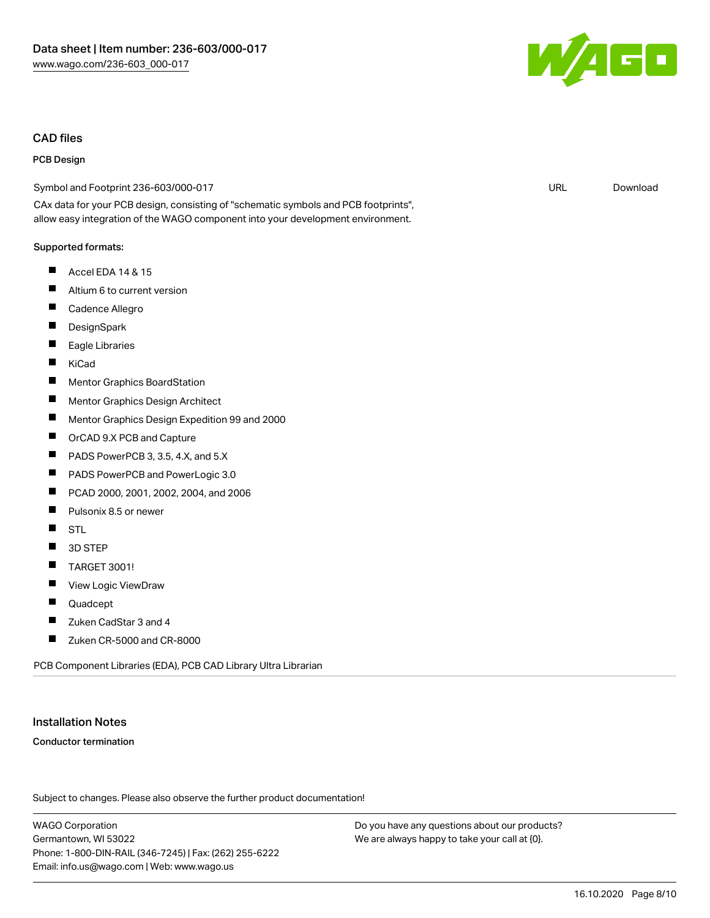### CAD files

#### PCB Design

Symbol and Footprint 236-603/000-017

CAx data for your PCB design, consisting of "schematic symbols and PCB footprints", allow easy integration of the WAGO component into your development environment.

#### Supported formats:

- $\blacksquare$ Accel EDA 14 & 15
- $\blacksquare$ Altium 6 to current version
- П Cadence Allegro
- $\blacksquare$ **DesignSpark**
- $\blacksquare$ Eagle Libraries
- $\blacksquare$ KiCad
- $\blacksquare$ Mentor Graphics BoardStation
- П Mentor Graphics Design Architect
- П Mentor Graphics Design Expedition 99 and 2000
- $\blacksquare$ OrCAD 9.X PCB and Capture
- $\blacksquare$ PADS PowerPCB 3, 3.5, 4.X, and 5.X
- П PADS PowerPCB and PowerLogic 3.0
- П PCAD 2000, 2001, 2002, 2004, and 2006
- П Pulsonix 8.5 or newer
- $\blacksquare$ STL
- $\blacksquare$ 3D STEP
- $\blacksquare$ TARGET 3001!
- П View Logic ViewDraw
- П Quadcept
- П Zuken CadStar 3 and 4
- П Zuken CR-5000 and CR-8000

PCB Component Libraries (EDA), PCB CAD Library Ultra Librarian

#### Installation Notes

#### Conductor termination

Subject to changes. Please also observe the further product documentation!

WAGO Corporation Germantown, WI 53022 Phone: 1-800-DIN-RAIL (346-7245) | Fax: (262) 255-6222 Email: info.us@wago.com | Web: www.wago.us

Do you have any questions about our products? We are always happy to take your call at {0}.



URL [Download](https://www.wago.com/us/d/UltraLibrarian_URLS_236-603_000-017)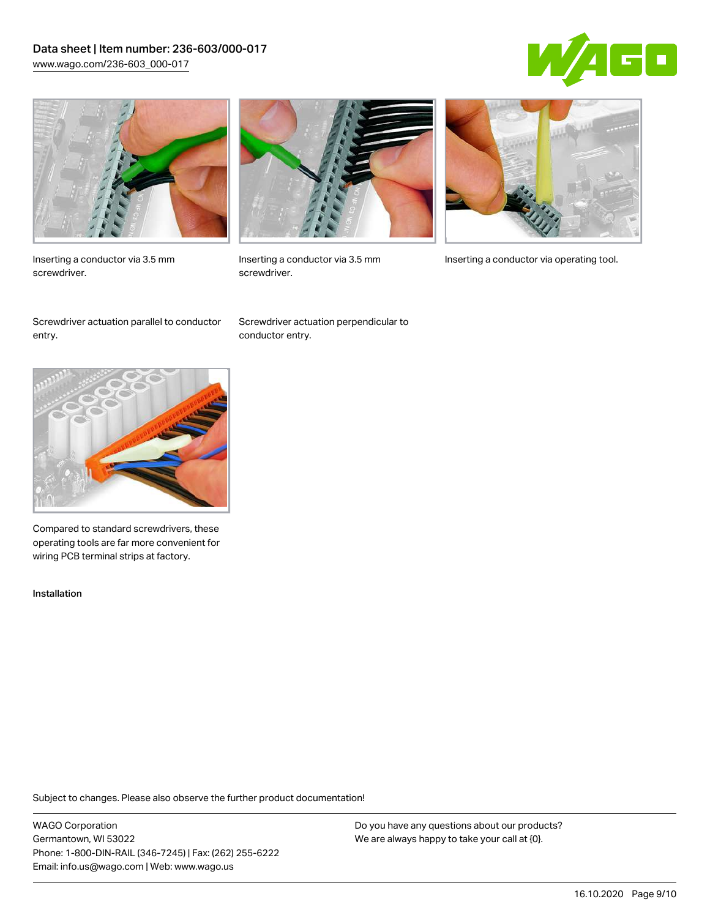## Data sheet | Item number: 236-603/000-017 [www.wago.com/236-603\\_000-017](http://www.wago.com/236-603_000-017)





Inserting a conductor via 3.5 mm screwdriver.



screwdriver.

Inserting a conductor via 3.5 mm Inserting a conductor via operating tool.

Screwdriver actuation parallel to conductor entry.

Screwdriver actuation perpendicular to conductor entry.



Compared to standard screwdrivers, these operating tools are far more convenient for wiring PCB terminal strips at factory.

Installation

Subject to changes. Please also observe the further product documentation!

WAGO Corporation Germantown, WI 53022 Phone: 1-800-DIN-RAIL (346-7245) | Fax: (262) 255-6222 Email: info.us@wago.com | Web: www.wago.us